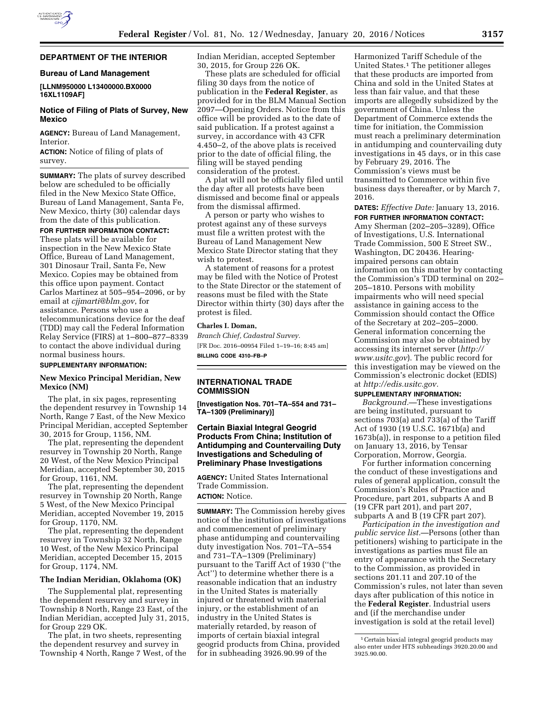

## **DEPARTMENT OF THE INTERIOR**

### **Bureau of Land Management**

## **[LLNM950000 L13400000.BX0000 16XL1109AF]**

## **Notice of Filing of Plats of Survey, New Mexico**

**AGENCY:** Bureau of Land Management, Interior.

**ACTION:** Notice of filing of plats of survey.

**SUMMARY:** The plats of survey described below are scheduled to be officially filed in the New Mexico State Office, Bureau of Land Management, Santa Fe, New Mexico, thirty (30) calendar days from the date of this publication.

**FOR FURTHER INFORMATION CONTACT:**  These plats will be available for inspection in the New Mexico State Office, Bureau of Land Management, 301 Dinosaur Trail, Santa Fe, New Mexico. Copies may be obtained from this office upon payment. Contact Carlos Martinez at 505–954–2096, or by email at *[cjjmarti@blm.gov](mailto:cjjmarti@blm.gov)*, for assistance. Persons who use a telecommunications device for the deaf (TDD) may call the Federal Information Relay Service (FIRS) at 1–800–877–8339 to contact the above individual during normal business hours.

### **SUPPLEMENTARY INFORMATION:**

### **New Mexico Principal Meridian, New Mexico (NM)**

The plat, in six pages, representing the dependent resurvey in Township 14 North, Range 7 East, of the New Mexico Principal Meridian, accepted September 30, 2015 for Group, 1156, NM.

The plat, representing the dependent resurvey in Township 20 North, Range 20 West, of the New Mexico Principal Meridian, accepted September 30, 2015 for Group, 1161, NM.

The plat, representing the dependent resurvey in Township 20 North, Range 5 West, of the New Mexico Principal Meridian, accepted November 19, 2015 for Group, 1170, NM.

The plat, representing the dependent resurvey in Township 32 North, Range 10 West, of the New Mexico Principal Meridian, accepted December 15, 2015 for Group, 1174, NM.

## **The Indian Meridian, Oklahoma (OK)**

The Supplemental plat, representing the dependent resurvey and survey in Township 8 North, Range 23 East, of the Indian Meridian, accepted July 31, 2015, for Group 229 OK.

The plat, in two sheets, representing the dependent resurvey and survey in Township 4 North, Range 7 West, of the Indian Meridian, accepted September 30, 2015, for Group 226 OK.

These plats are scheduled for official filing 30 days from the notice of publication in the **Federal Register**, as provided for in the BLM Manual Section 2097—Opening Orders. Notice from this office will be provided as to the date of said publication. If a protest against a survey, in accordance with 43 CFR 4.450–2, of the above plats is received prior to the date of official filing, the filing will be stayed pending consideration of the protest.

A plat will not be officially filed until the day after all protests have been dismissed and become final or appeals from the dismissal affirmed.

A person or party who wishes to protest against any of these surveys must file a written protest with the Bureau of Land Management New Mexico State Director stating that they wish to protest.

A statement of reasons for a protest may be filed with the Notice of Protest to the State Director or the statement of reasons must be filed with the State Director within thirty (30) days after the protest is filed.

## **Charles I. Doman,**

*Branch Chief, Cadastral Survey.*  [FR Doc. 2016–00954 Filed 1–19–16; 8:45 am] **BILLING CODE 4310–FB–P** 

## **INTERNATIONAL TRADE COMMISSION**

**[Investigation Nos. 701–TA–554 and 731– TA–1309 (Preliminary)]** 

## **Certain Biaxial Integral Geogrid Products From China; Institution of Antidumping and Countervailing Duty Investigations and Scheduling of Preliminary Phase Investigations**

**AGENCY:** United States International Trade Commission.

# **ACTION:** Notice.

**SUMMARY:** The Commission hereby gives notice of the institution of investigations and commencement of preliminary phase antidumping and countervailing duty investigation Nos. 701–TA–554 and 731–TA–1309 (Preliminary) pursuant to the Tariff Act of 1930 (''the Act'') to determine whether there is a reasonable indication that an industry in the United States is materially injured or threatened with material injury, or the establishment of an industry in the United States is materially retarded, by reason of imports of certain biaxial integral geogrid products from China, provided for in subheading 3926.90.99 of the

Harmonized Tariff Schedule of the United States.1 The petitioner alleges that these products are imported from China and sold in the United States at less than fair value, and that these imports are allegedly subsidized by the government of China. Unless the Department of Commerce extends the time for initiation, the Commission must reach a preliminary determination in antidumping and countervailing duty investigations in 45 days, or in this case by February 29, 2016. The Commission's views must be transmitted to Commerce within five business days thereafter, or by March 7, 2016.

**DATES:** *Effective Date:* January 13, 2016.

**FOR FURTHER INFORMATION CONTACT:**  Amy Sherman (202–205–3289), Office of Investigations, U.S. International Trade Commission, 500 E Street SW., Washington, DC 20436. Hearingimpaired persons can obtain information on this matter by contacting the Commission's TDD terminal on 202– 205–1810. Persons with mobility impairments who will need special assistance in gaining access to the Commission should contact the Office of the Secretary at 202–205–2000. General information concerning the Commission may also be obtained by accessing its internet server (*[http://](http://www.usitc.gov) [www.usitc.gov](http://www.usitc.gov)*). The public record for this investigation may be viewed on the Commission's electronic docket (EDIS) at *[http://edis.usitc.gov.](http://edis.usitc.gov)* 

## **SUPPLEMENTARY INFORMATION:**

*Background.*—These investigations are being instituted, pursuant to sections 703(a) and 733(a) of the Tariff Act of 1930 (19 U.S.C. 1671b(a) and 1673b(a)), in response to a petition filed on January 13, 2016, by Tensar Corporation, Morrow, Georgia.

For further information concerning the conduct of these investigations and rules of general application, consult the Commission's Rules of Practice and Procedure, part 201, subparts A and B (19 CFR part 201), and part 207, subparts A and B (19 CFR part 207).

*Participation in the investigation and public service list.*—Persons (other than petitioners) wishing to participate in the investigations as parties must file an entry of appearance with the Secretary to the Commission, as provided in sections 201.11 and 207.10 of the Commission's rules, not later than seven days after publication of this notice in the **Federal Register**. Industrial users and (if the merchandise under investigation is sold at the retail level)

<sup>1</sup>Certain biaxial integral geogrid products may also enter under HTS subheadings 3920.20.00 and 3925.90.00.